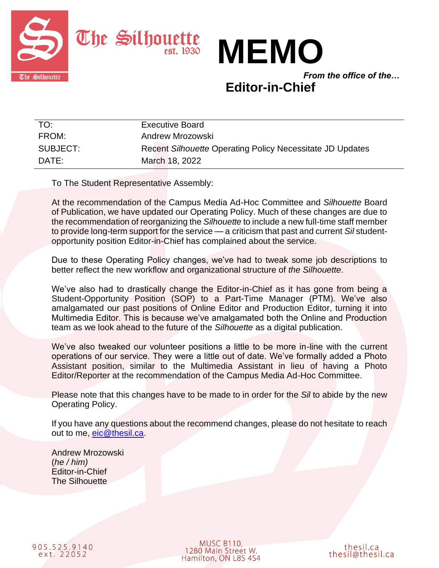



*From the office of the…*

# **Editor-in-Chief**

| TO:      | <b>Executive Board</b>                                    |
|----------|-----------------------------------------------------------|
| FROM:    | Andrew Mrozowski                                          |
| SUBJECT: | Recent Silhouette Operating Policy Necessitate JD Updates |
| DATE:    | March 18, 2022                                            |

To The Student Representative Assembly:

At the recommendation of the Campus Media Ad-Hoc Committee and *Silhouette* Board of Publication, we have updated our Operating Policy. Much of these changes are due to the recommendation of reorganizing the *Silhouette* to include a new full-time staff member to provide long-term support for the service — a criticism that past and current *Sil* studentopportunity position Editor-in-Chief has complained about the service.

Due to these Operating Policy changes, we've had to tweak some job descriptions to better reflect the new workflow and organizational structure of *the Silhouette*.

We've also had to drastically change the Editor-in-Chief as it has gone from being a Student-Opportunity Position (SOP) to a Part-Time Manager (PTM). We've also amalgamated our past positions of Online Editor and Production Editor, turning it into Multimedia Editor. This is because we've amalgamated both the Online and Production team as we look ahead to the future of the *Silhouette* as a digital publication.

We've also tweaked our volunteer positions a little to be more in-line with the current operations of our service. They were a little out of date. We've formally added a Photo Assistant position, similar to the Multimedia Assistant in lieu of having a Photo Editor/Reporter at the recommendation of the Campus Media Ad-Hoc Committee.

Please note that this changes have to be made to in order for the *Sil* to abide by the new Operating Policy.

If you have any questions about the recommend changes, please do not hesitate to reach out to me, [eic@thesil.ca.](mailto:eic@thesil.ca)

Andrew Mrozowski (*he / him)* Editor-in-Chief The Silhouette

905.525.9140<br>ext. 22052

**MUSC B110,** 1280 Main Street W. Hamilton, ON L8S 4S4

thesil.ca thesil@thesil.ca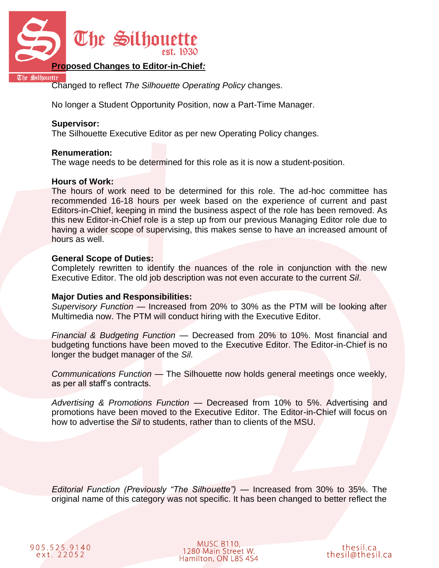

## **Proposed Changes to Editor-in-Chief***:*

The Silhouette

Changed to reflect *The Silhouette Operating Policy* changes.

No longer a Student Opportunity Position, now a Part-Time Manager.

#### **Supervisor:**

The Silhouette Executive Editor as per new Operating Policy changes.

#### **Renumeration:**

The wage needs to be determined for this role as it is now a student-position.

#### **Hours of Work:**

The hours of work need to be determined for this role. The ad-hoc committee has recommended 16-18 hours per week based on the experience of current and past Editors-in-Chief, keeping in mind the business aspect of the role has been removed. As this new Editor-in-Chief role is a step up from our previous Managing Editor role due to having a wider scope of supervising, this makes sense to have an increased amount of hours as well.

#### **General Scope of Duties:**

Completely rewritten to identify the nuances of the role in conjunction with the new Executive Editor. The old job description was not even accurate to the current *Sil*.

# **Major Duties and Responsibilities:**

*Supervisory Function* — Increased from 20% to 30% as the PTM will be looking after Multimedia now. The PTM will conduct hiring with the Executive Editor.

*Financial & Budgeting Function* — Decreased from 20% to 10%. Most financial and budgeting functions have been moved to the Executive Editor. The Editor-in-Chief is no longer the budget manager of the *Sil.*

*Communications Function* — The Silhouette now holds general meetings once weekly, as per all staff's contracts.

*Advertising & Promotions Function* — Decreased from 10% to 5%. Advertising and promotions have been moved to the Executive Editor. The Editor-in-Chief will focus on how to advertise the *Sil* to students, rather than to clients of the MSU.

*Editorial Function (Previously "The Silhouette") —* Increased from 30% to 35%. The original name of this category was not specific. It has been changed to better reflect the

**MUSC B110,** 1280 Main Street W. Hamilton, ON L8S 4S4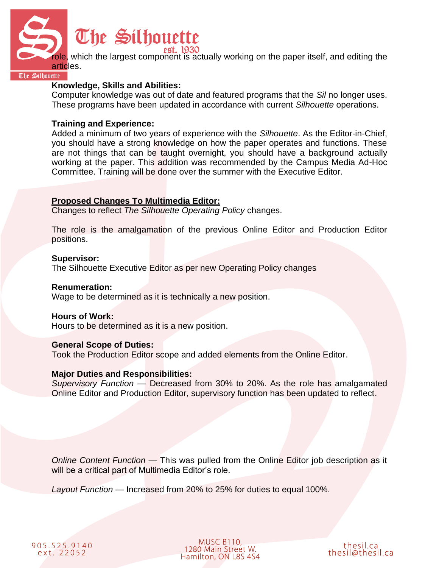

Silhouette

# **Knowledge, Skills and Abilities:**

Computer knowledge was out of date and featured programs that the *Sil* no longer uses. These programs have been updated in accordance with current *Silhouette* operations.

# **Training and Experience:**

Added a minimum of two years of experience with the *Silhouette*. As the Editor-in-Chief, you should have a strong knowledge on how the paper operates and functions. These are not things that can be taught overnight, you should have a background actually working at the paper. This addition was recommended by the Campus Media Ad-Hoc Committee. Training will be done over the summer with the Executive Editor.

# **Proposed Changes To Multimedia Editor:**

Changes to reflect *The Silhouette Operating Policy* changes.

The role is the amalgamation of the previous Online Editor and Production Editor positions.

#### **Supervisor:**

The Silhouette Executive Editor as per new Operating Policy changes

#### **Renumeration:**

Wage to be determined as it is technically a new position.

#### **Hours of Work:**

Hours to be determined as it is a new position.

#### **General Scope of Duties:**

Took the Production Editor scope and added elements from the Online Editor.

#### **Major Duties and Responsibilities:**

*Supervisory Function* — Decreased from 30% to 20%. As the role has amalgamated Online Editor and Production Editor, supervisory function has been updated to reflect.

*Online Content Function* — This was pulled from the Online Editor job description as it will be a critical part of Multimedia Editor's role.

*Layout Function* — Increased from 20% to 25% for duties to equal 100%.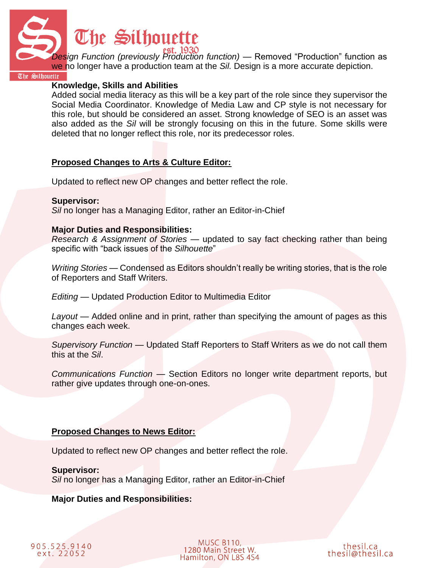

*Design Function (previously Production function) —* Removed "Production" function as we no longer have a production team at the *Sil.* Design is a more accurate depiction.

The Silhouette

#### **Knowledge, Skills and Abilities**

Added social media literacy as this will be a key part of the role since they supervisor the Social Media Coordinator. Knowledge of Media Law and CP style is not necessary for this role, but should be considered an asset. Strong knowledge of SEO is an asset was also added as the *Sil* will be strongly focusing on this in the future. Some skills were deleted that no longer reflect this role, nor its predecessor roles.

# **Proposed Changes to Arts & Culture Editor:**

Updated to reflect new OP changes and better reflect the role.

# **Supervisor:**

*Sil* no longer has a Managing Editor, rather an Editor-in-Chief

# **Major Duties and Responsibilities:**

*Research & Assignment of Stories* — updated to say fact checking rather than being specific with "back issues of the *Silhouette*"

*Writing Stories —* Condensed as Editors shouldn't really be writing stories, that is the role of Reporters and Staff Writers.

*Editing —* Updated Production Editor to Multimedia Editor

*Layout —* Added online and in print, rather than specifying the amount of pages as this changes each week.

*Supervisory Function* — Updated Staff Reporters to Staff Writers as we do not call them this at the *Sil*.

*Communications Function* — Section Editors no longer write department reports, but rather give updates through one-on-ones.

# **Proposed Changes to News Editor:**

Updated to reflect new OP changes and better reflect the role.

**Supervisor:** *Sil* no longer has a Managing Editor, rather an Editor-in-Chief

# **Major Duties and Responsibilities:**

905.525.9140 ext. 22052

**MUSC B110,** 1280 Main Street W. Hamilton, ON L8S 4S4

thesil.ca thesil@thesil.ca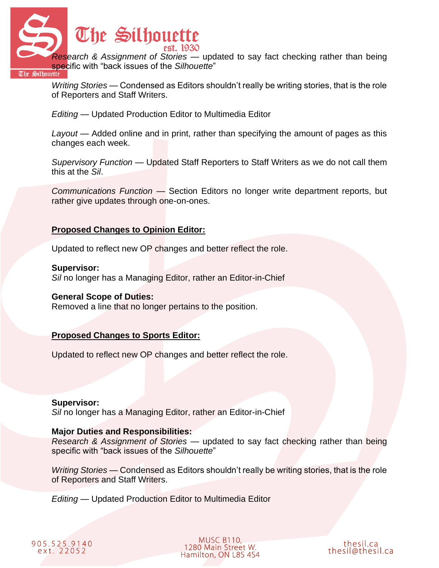

*Writing Stories —* Condensed as Editors shouldn't really be writing stories, that is the role of Reporters and Staff Writers.

*Editing —* Updated Production Editor to Multimedia Editor

*Layout —* Added online and in print, rather than specifying the amount of pages as this changes each week.

*Supervisory Function* — Updated Staff Reporters to Staff Writers as we do not call them this at the *Sil*.

*Communications Function* — Section Editors no longer write department reports, but rather give updates through one-on-ones.

# **Proposed Changes to Opinion Editor:**

Updated to reflect new OP changes and better reflect the role.

#### **Supervisor:**

*Sil* no longer has a Managing Editor, rather an Editor-in-Chief

#### **General Scope of Duties:**

Removed a line that no longer pertains to the position.

# **Proposed Changes to Sports Editor:**

Updated to reflect new OP changes and better reflect the role.

#### **Supervisor:**

*Sil* no longer has a Managing Editor, rather an Editor-in-Chief

#### **Major Duties and Responsibilities:**

*Research & Assignment of Stories* — updated to say fact checking rather than being specific with "back issues of the *Silhouette*"

*Writing Stories —* Condensed as Editors shouldn't really be writing stories, that is the role of Reporters and Staff Writers.

*Editing —* Updated Production Editor to Multimedia Editor

| 905.525.9140 |  |
|--------------|--|
| ext. 22052   |  |

**MUSC B110,** 1280 Main Street W. Hamilton, ON L8S 4S4

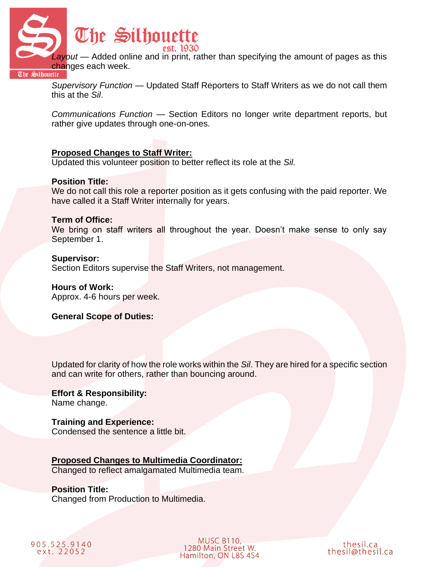

*Layout —* Added online and in print, rather than specifying the amount of pages as this **Changes each week.**<br>The Silhouette

*Supervisory Function* — Updated Staff Reporters to Staff Writers as we do not call them this at the *Sil*.

*Communications Function* — Section Editors no longer write department reports, but rather give updates through one-on-ones.

# **Proposed Changes to Staff Writer:**

Updated this volunteer position to better reflect its role at the *Sil.*

#### **Position Title:**

We do not call this role a reporter position as it gets confusing with the paid reporter. We have called it a Staff Writer internally for years.

#### **Term of Office:**

We bring on staff writers all throughout the year. Doesn't make sense to only say September 1.

#### **Supervisor:**

Section Editors supervise the Staff Writers, not management.

#### **Hours of Work:**

Approx. 4-6 hours per week.

#### **General Scope of Duties:**

Updated for clarity of how the role works within the *Sil*. They are hired for a specific section and can write for others, rather than bouncing around.

#### **Effort & Responsibility:** Name change.

**Training and Experience:**

Condensed the sentence a little bit.

# **Proposed Changes to Multimedia Coordinator:**

Changed to reflect amalgamated Multimedia team.

#### **Position Title:** Changed from Production to Multimedia.

905.525.9140 ext. 22052

**MUSC B110,** 1280 Main Street W. Hamilton, ON L8S 4S4

thesil.ca thesil@thesil.ca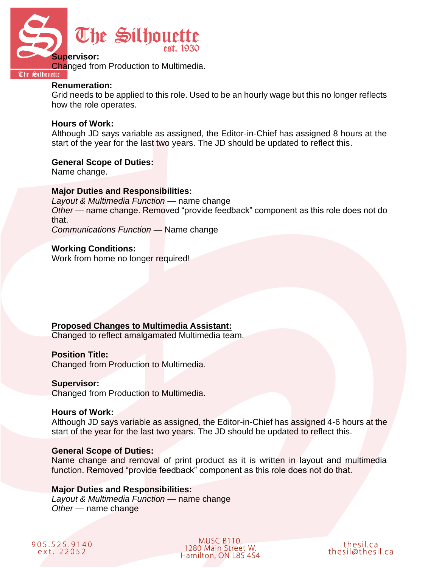

#### **Renumeration:**

Grid needs to be applied to this role. Used to be an hourly wage but this no longer reflects how the role operates.

#### **Hours of Work:**

Although JD says variable as assigned, the Editor-in-Chief has assigned 8 hours at the start of the year for the last two years. The JD should be updated to reflect this.

#### **General Scope of Duties:**

Name change.

#### **Major Duties and Responsibilities:**

*Layout & Multimedia Function* — name change *Other* — name change. Removed "provide feedback" component as this role does not do that. *Communications Function —* Name change

**Working Conditions:**

Work from home no longer required!

#### **Proposed Changes to Multimedia Assistant:**

Changed to reflect amalgamated Multimedia team.

### **Position Title:**

Changed from Production to Multimedia.

#### **Supervisor:**

Changed from Production to Multimedia.

#### **Hours of Work:**

Although JD says variable as assigned, the Editor-in-Chief has assigned 4-6 hours at the start of the year for the last two years. The JD should be updated to reflect this.

#### **General Scope of Duties:**

Name change and removal of print product as it is written in layout and multimedia function. Removed "provide feedback" component as this role does not do that.

#### **Major Duties and Responsibilities:**

*Layout & Multimedia Function* — name change *Other* — name change



**MUSC B110,** 1280 Main Street W. Hamilton, ON L8S 4S4